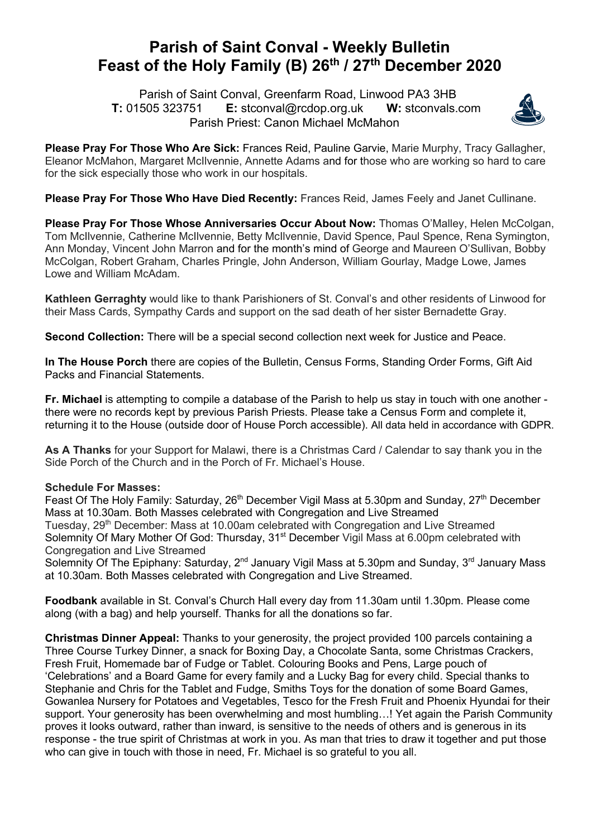## **Parish of Saint Conval - Weekly Bulletin Feast of the Holy Family (B) 26th / 27th December 2020**

 Parish of Saint Conval, Greenfarm Road, Linwood PA3 3HB **T:** 01505 323751 **E:** stconval@rcdop.org.uk **W:** stconvals.com Parish Priest: Canon Michael McMahon



**Please Pray For Those Who Are Sick:** Frances Reid, Pauline Garvie, Marie Murphy, Tracy Gallagher, Eleanor McMahon, Margaret McIlvennie, Annette Adams and for those who are working so hard to care for the sick especially those who work in our hospitals.

**Please Pray For Those Who Have Died Recently:** Frances Reid, James Feely and Janet Cullinane.

**Please Pray For Those Whose Anniversaries Occur About Now:** Thomas O'Malley, Helen McColgan, Tom McIlvennie, Catherine McIlvennie, Betty McIlvennie, David Spence, Paul Spence, Rena Symington, Ann Monday, Vincent John Marron and for the month's mind of George and Maureen O'Sullivan, Bobby McColgan, Robert Graham, Charles Pringle, John Anderson, William Gourlay, Madge Lowe, James Lowe and William McAdam.

**Kathleen Gerraghty** would like to thank Parishioners of St. Conval's and other residents of Linwood for their Mass Cards, Sympathy Cards and support on the sad death of her sister Bernadette Gray.

**Second Collection:** There will be a special second collection next week for Justice and Peace.

**In The House Porch** there are copies of the Bulletin, Census Forms, Standing Order Forms, Gift Aid Packs and Financial Statements.

**Fr. Michael** is attempting to compile a database of the Parish to help us stay in touch with one another there were no records kept by previous Parish Priests. Please take a Census Form and complete it, returning it to the House (outside door of House Porch accessible). All data held in accordance with GDPR.

**As A Thanks** for your Support for Malawi, there is a Christmas Card / Calendar to say thank you in the Side Porch of the Church and in the Porch of Fr. Michael's House.

## **Schedule For Masses:**

Feast Of The Holy Family: Saturday, 26<sup>th</sup> December Vigil Mass at 5.30pm and Sunday, 27<sup>th</sup> December Mass at 10.30am. Both Masses celebrated with Congregation and Live Streamed Tuesday, 29<sup>th</sup> December: Mass at 10.00am celebrated with Congregation and Live Streamed Solemnity Of Mary Mother Of God: Thursday, 31<sup>st</sup> December Vigil Mass at 6.00pm celebrated with Congregation and Live Streamed

Solemnity Of The Epiphany: Saturday, 2<sup>nd</sup> January Vigil Mass at 5.30pm and Sunday, 3<sup>rd</sup> January Mass at 10.30am. Both Masses celebrated with Congregation and Live Streamed.

**Foodbank** available in St. Conval's Church Hall every day from 11.30am until 1.30pm. Please come along (with a bag) and help yourself. Thanks for all the donations so far.

**Christmas Dinner Appeal:** Thanks to your generosity, the project provided 100 parcels containing a Three Course Turkey Dinner, a snack for Boxing Day, a Chocolate Santa, some Christmas Crackers, Fresh Fruit, Homemade bar of Fudge or Tablet. Colouring Books and Pens, Large pouch of 'Celebrations' and a Board Game for every family and a Lucky Bag for every child. Special thanks to Stephanie and Chris for the Tablet and Fudge, Smiths Toys for the donation of some Board Games, Gowanlea Nursery for Potatoes and Vegetables, Tesco for the Fresh Fruit and Phoenix Hyundai for their support. Your generosity has been overwhelming and most humbling…! Yet again the Parish Community proves it looks outward, rather than inward, is sensitive to the needs of others and is generous in its response - the true spirit of Christmas at work in you. As man that tries to draw it together and put those who can give in touch with those in need, Fr. Michael is so grateful to you all.